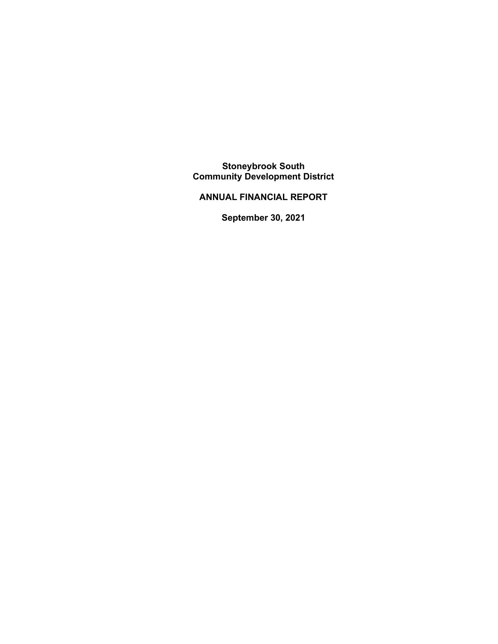**Stoneybrook South Community Development District**

**ANNUAL FINANCIAL REPORT**

**September 30, 2021**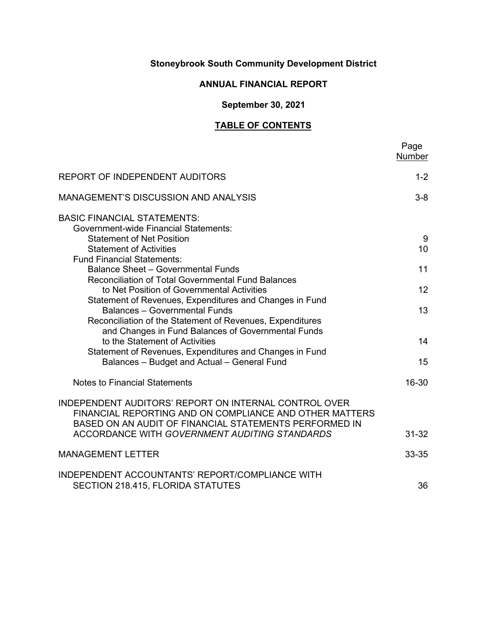# **Stoneybrook South Community Development District**

# **ANNUAL FINANCIAL REPORT**

# **September 30, 2021**

# **TABLE OF CONTENTS**

|                                                                                                                                                                                   | Page<br>Number |
|-----------------------------------------------------------------------------------------------------------------------------------------------------------------------------------|----------------|
| <b>REPORT OF INDEPENDENT AUDITORS</b>                                                                                                                                             | $1 - 2$        |
| <b>MANAGEMENT'S DISCUSSION AND ANALYSIS</b>                                                                                                                                       | $3 - 8$        |
| <b>BASIC FINANCIAL STATEMENTS:</b><br><b>Government-wide Financial Statements:</b>                                                                                                |                |
| <b>Statement of Net Position</b><br><b>Statement of Activities</b><br><b>Fund Financial Statements:</b>                                                                           | 9<br>10        |
| <b>Balance Sheet - Governmental Funds</b>                                                                                                                                         | 11             |
| <b>Reconciliation of Total Governmental Fund Balances</b><br>to Net Position of Governmental Activities                                                                           | 12             |
| Statement of Revenues, Expenditures and Changes in Fund<br><b>Balances - Governmental Funds</b><br>Reconciliation of the Statement of Revenues, Expenditures                      | 13             |
| and Changes in Fund Balances of Governmental Funds<br>to the Statement of Activities                                                                                              | 14             |
| Statement of Revenues, Expenditures and Changes in Fund<br>Balances - Budget and Actual - General Fund                                                                            | 15             |
| <b>Notes to Financial Statements</b>                                                                                                                                              | 16-30          |
| <b>INDEPENDENT AUDITORS' REPORT ON INTERNAL CONTROL OVER</b><br>FINANCIAL REPORTING AND ON COMPLIANCE AND OTHER MATTERS<br>BASED ON AN AUDIT OF FINANCIAL STATEMENTS PERFORMED IN |                |
| <b>ACCORDANCE WITH GOVERNMENT AUDITING STANDARDS</b>                                                                                                                              | $31 - 32$      |
| <b>MANAGEMENT LETTER</b>                                                                                                                                                          | 33-35          |
| INDEPENDENT ACCOUNTANTS' REPORT/COMPLIANCE WITH<br><b>SECTION 218.415, FLORIDA STATUTES</b>                                                                                       | 36             |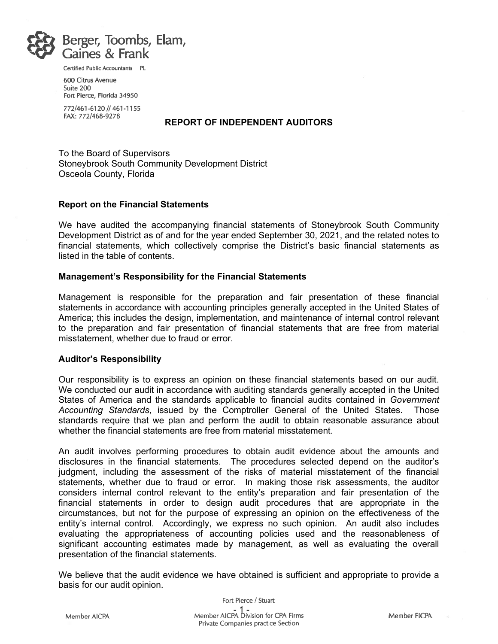

Certified Public Accountants PL

600 Citrus Avenue Suite 200 Fort Pierce, Florida 34950

772/461-6120 // 461-1155 FAX: 772/468-9278

#### **REPORT OF INDEPENDENT AUDITORS**

To the Board of Supervisors Stoneybrook South Community Development District Osceola County, Florida

#### **Report on the Financial Statements**

We have audited the accompanying financial statements of Stoneybrook South Community Development District as of and for the year ended September 30, 2021, and the related notes to financial statements, which collectively comprise the District's basic financial statements as listed in the table of contents.

#### **Management's Responsibility for the Financial Statements**

Management is responsible for the preparation and fair presentation of these financial statements in accordance with accounting principles generally accepted in the United States of America; this includes the design, implementation, and maintenance of internal control relevant to the preparation and fair presentation of financial statements that are free from material misstatement, whether due to fraud or error.

#### **Auditor's Responsibility**

Our responsibility is to express an opinion on these financial statements based on our audit. We conducted our audit in accordance with auditing standards generally accepted in the United States of America and the standards applicable to financial audits contained in *Government Accounting Standards*, issued by the Comptroller General of the United States. Those standards require that we plan and perform the audit to obtain reasonable assurance about whether the financial statements are free from material misstatement.

An audit involves performing procedures to obtain audit evidence about the amounts and disclosures in the financial statements. The procedures selected depend on the auditor's judgment, including the assessment of the risks of material misstatement of the financial statements, whether due to fraud or error. In making those risk assessments, the auditor considers internal control relevant to the entity's preparation and fair presentation of the financial statements in order to design audit procedures that are appropriate in the circumstances, but not for the purpose of expressing an opinion on the effectiveness of the entity's internal control. Accordingly, we express no such opinion. An audit also includes evaluating the appropriateness of accounting policies used and the reasonableness of significant accounting estimates made by management, as well as evaluating the overall presentation of the financial statements.

We believe that the audit evidence we have obtained is sufficient and appropriate to provide a basis for our audit opinion.

> Fort Pierce / Stuart Member AICPA Division for CPA Firms Private Companies practice Section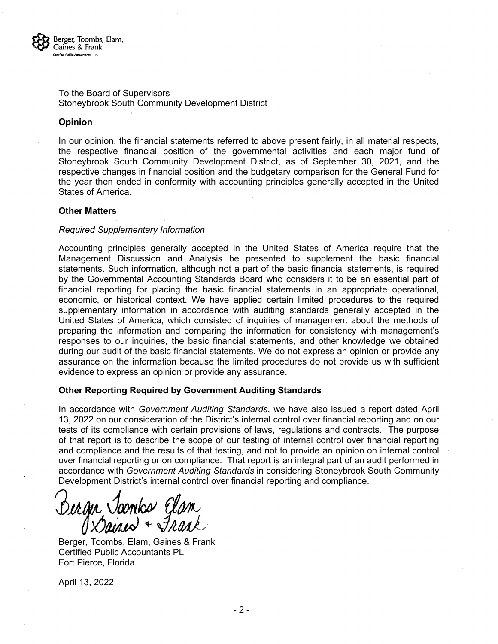

# To the Board of Supervisors

Stoneybrook South Community Development District

#### **Opinion**

In our opinion, the financial statements referred to above present fairly, in all material respects, the respective financial position of the governmental activities and each major fund of Stoneybrook South Community Development District, as of September 30, 2021, and the respective changes in financial position and the budgetary comparison for the General Fund for the year then ended in conformity with accounting principles generally accepted in the United States of America.

#### **Other Matters**

#### *Required Supplementary Information*

Accounting principles generally accepted in the United States of America require that the Management Discussion and Analysis be presented to supplement the basic financial statements. Such information, although not a part of the basic financial statements, is required by the Governmental Accounting Standards Board who considers it to be an essential part of financial reporting for placing the basic financial statements in an appropriate operational, economic, or historical context. We have applied certain limited procedures to the required supplementary information in accordance with auditing standards generally accepted in the United States of America, which consisted of inquiries of management about the methods of preparing the information and comparing the information for consistency with management's responses to our inquiries, the basic financial statements, and other knowledge we obtained during our audit of the basic financial statements. We do not express an opinion or provide any assurance on the information because the limited procedures do not provide us with sufficient evidence to express an opinion or provide any assurance.

#### **Other Reporting Required by Government Auditing Standards**

In accordance with *Government Auditing Standards*, we have also issued a report dated April 13, 2022 on our consideration of the District's internal control over financial reporting and on our tests of its compliance with certain provisions of laws, regulations and contracts. The purpose of that report is to describe the scope of our testing of internal control over financial reporting and compliance and the results of that testing, and not to provide an opinion on internal control over financial reporting or on compliance. That report is an integral part of an audit performed in accordance with *Government Auditing Standards* in considering Stoneybrook South Community Development District's internal control over financial reporting and compliance.

Durgin Joonks Clam

Berger, Toombs, Elam, Gaines & Frank Certified Public Accountants PL Fort Pierce, Florida

April 13, 2022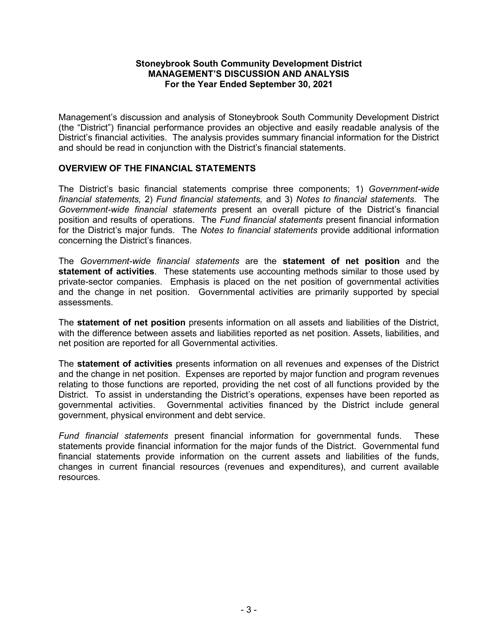Management's discussion and analysis of Stoneybrook South Community Development District (the "District") financial performance provides an objective and easily readable analysis of the District's financial activities. The analysis provides summary financial information for the District and should be read in conjunction with the District's financial statements.

# **OVERVIEW OF THE FINANCIAL STATEMENTS**

The District's basic financial statements comprise three components; 1) *Government-wide financial statements,* 2) *Fund financial statements,* and 3) *Notes to financial statements.* The *Government-wide financial statements* present an overall picture of the District's financial position and results of operations. The *Fund financial statements* present financial information for the District's major funds. The *Notes to financial statements* provide additional information concerning the District's finances.

The *Government-wide financial statements* are the **statement of net position** and the **statement of activities**. These statements use accounting methods similar to those used by private-sector companies. Emphasis is placed on the net position of governmental activities and the change in net position. Governmental activities are primarily supported by special assessments.

The **statement of net position** presents information on all assets and liabilities of the District, with the difference between assets and liabilities reported as net position. Assets, liabilities, and net position are reported for all Governmental activities.

The **statement of activities** presents information on all revenues and expenses of the District and the change in net position. Expenses are reported by major function and program revenues relating to those functions are reported, providing the net cost of all functions provided by the District. To assist in understanding the District's operations, expenses have been reported as governmental activities. Governmental activities financed by the District include general government, physical environment and debt service.

*Fund financial statements* present financial information for governmental funds. These statements provide financial information for the major funds of the District. Governmental fund financial statements provide information on the current assets and liabilities of the funds, changes in current financial resources (revenues and expenditures), and current available resources.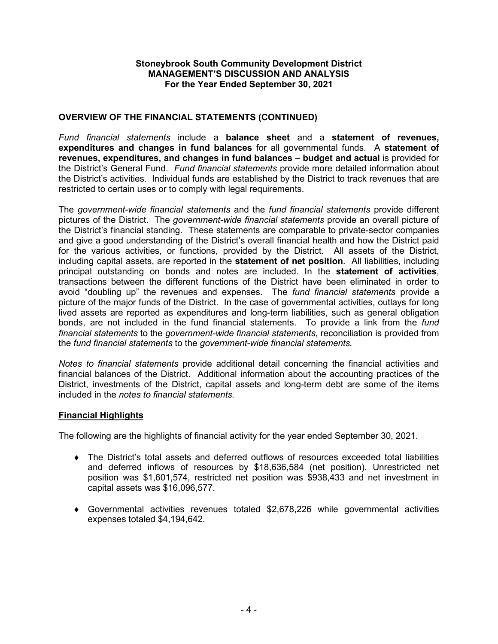# **OVERVIEW OF THE FINANCIAL STATEMENTS (CONTINUED)**

*Fund financial statements* include a **balance sheet** and a **statement of revenues, expenditures and changes in fund balances** for all governmental funds. A **statement of revenues, expenditures, and changes in fund balances – budget and actual** is provided for the District's General Fund. *Fund financial statements* provide more detailed information about the District's activities. Individual funds are established by the District to track revenues that are restricted to certain uses or to comply with legal requirements.

The *government-wide financial statements* and the *fund financial statements* provide different pictures of the District. The *government-wide financial statements* provide an overall picture of the District's financial standing. These statements are comparable to private-sector companies and give a good understanding of the District's overall financial health and how the District paid for the various activities, or functions, provided by the District. All assets of the District, including capital assets, are reported in the **statement of net position**. All liabilities, including principal outstanding on bonds and notes are included. In the **statement of activities**, transactions between the different functions of the District have been eliminated in order to avoid "doubling up" the revenues and expenses. The *fund financial statements* provide a picture of the major funds of the District. In the case of governmental activities, outlays for long lived assets are reported as expenditures and long-term liabilities, such as general obligation bonds, are not included in the fund financial statements. To provide a link from the *fund financial statements* to the *government-wide financial statements*, reconciliation is provided from the *fund financial statements* to the *government-wide financial statements.*

*Notes to financial statements* provide additional detail concerning the financial activities and financial balances of the District. Additional information about the accounting practices of the District, investments of the District, capital assets and long-term debt are some of the items included in the *notes to financial statements.*

### **Financial Highlights**

The following are the highlights of financial activity for the year ended September 30, 2021.

- ♦ The District's total assets and deferred outflows of resources exceeded total liabilities and deferred inflows of resources by \$18,636,584 (net position). Unrestricted net position was \$1,601,574, restricted net position was \$938,433 and net investment in capital assets was \$16,096,577.
- ♦ Governmental activities revenues totaled \$2,678,226 while governmental activities expenses totaled \$4,194,642.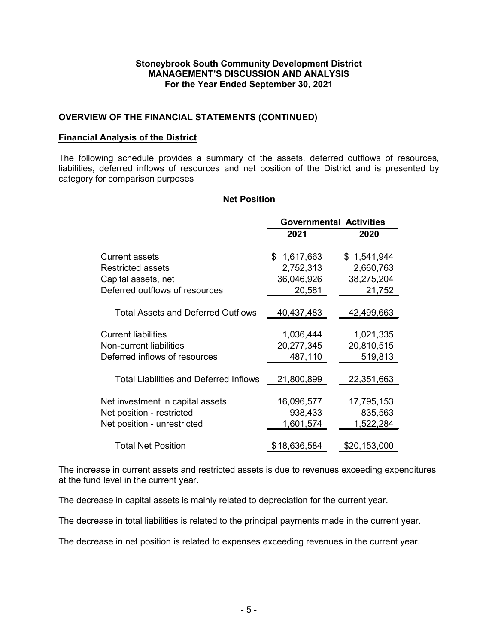# **OVERVIEW OF THE FINANCIAL STATEMENTS (CONTINUED)**

#### **Financial Analysis of the District**

The following schedule provides a summary of the assets, deferred outflows of resources, liabilities, deferred inflows of resources and net position of the District and is presented by category for comparison purposes

#### **Net Position**

|                                               | <b>Governmental Activities</b> |              |
|-----------------------------------------------|--------------------------------|--------------|
|                                               | 2021                           | 2020         |
|                                               |                                |              |
| <b>Current assets</b>                         | \$1,617,663                    | \$1,541,944  |
| <b>Restricted assets</b>                      | 2,752,313                      | 2,660,763    |
| Capital assets, net                           | 36,046,926                     | 38,275,204   |
| Deferred outflows of resources                | 20,581                         | 21,752       |
|                                               |                                |              |
| <b>Total Assets and Deferred Outflows</b>     | 40,437,483                     | 42,499,663   |
|                                               |                                |              |
| <b>Current liabilities</b>                    | 1,036,444                      | 1,021,335    |
| Non-current liabilities                       | 20,277,345                     | 20,810,515   |
| Deferred inflows of resources                 | 487,110                        | 519,813      |
|                                               |                                |              |
| <b>Total Liabilities and Deferred Inflows</b> | 21,800,899                     | 22,351,663   |
|                                               |                                |              |
| Net investment in capital assets              | 16,096,577                     | 17,795,153   |
| Net position - restricted                     | 938,433                        | 835,563      |
| Net position - unrestricted                   | 1,601,574                      | 1,522,284    |
|                                               |                                |              |
| <b>Total Net Position</b>                     | \$18,636,584                   | \$20,153,000 |

The increase in current assets and restricted assets is due to revenues exceeding expenditures at the fund level in the current year.

The decrease in capital assets is mainly related to depreciation for the current year.

The decrease in total liabilities is related to the principal payments made in the current year.

The decrease in net position is related to expenses exceeding revenues in the current year.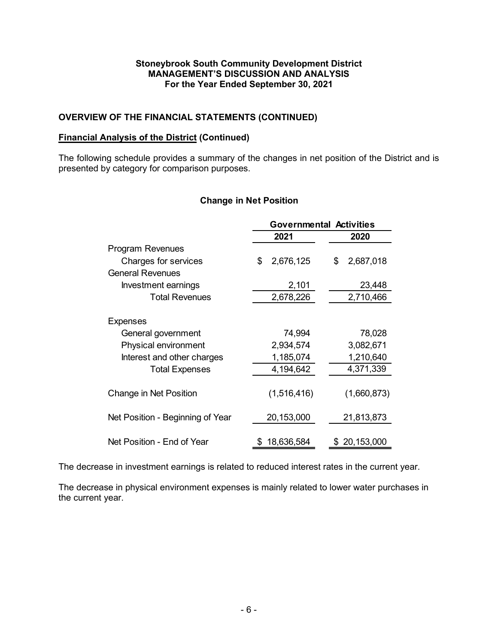# **OVERVIEW OF THE FINANCIAL STATEMENTS (CONTINUED)**

### **Financial Analysis of the District (Continued)**

The following schedule provides a summary of the changes in net position of the District and is presented by category for comparison purposes.

### **Change in Net Position**

|                                  | <b>Governmental Activities</b> |                 |  |
|----------------------------------|--------------------------------|-----------------|--|
|                                  | 2021                           | 2020            |  |
| <b>Program Revenues</b>          |                                |                 |  |
| Charges for services             | 2,676,125<br>\$                | 2,687,018<br>\$ |  |
| <b>General Revenues</b>          |                                |                 |  |
| Investment earnings              | 2,101                          | 23,448          |  |
| <b>Total Revenues</b>            | 2,678,226                      | 2,710,466       |  |
| <b>Expenses</b>                  |                                |                 |  |
| General government               | 74,994                         | 78,028          |  |
| Physical environment             | 2,934,574                      | 3,082,671       |  |
| Interest and other charges       | 1,185,074                      | 1,210,640       |  |
| <b>Total Expenses</b>            | 4,194,642                      | 4,371,339       |  |
| Change in Net Position           | (1,516,416)                    | (1,660,873)     |  |
| Net Position - Beginning of Year | 20,153,000                     | 21,813,873      |  |
| Net Position - End of Year       | 18,636,584                     | \$20,153,000    |  |

The decrease in investment earnings is related to reduced interest rates in the current year.

The decrease in physical environment expenses is mainly related to lower water purchases in the current year.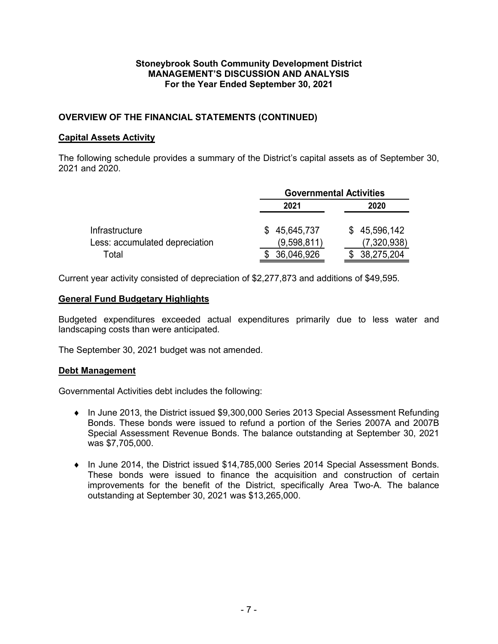# **OVERVIEW OF THE FINANCIAL STATEMENTS (CONTINUED)**

### **Capital Assets Activity**

The following schedule provides a summary of the District's capital assets as of September 30, 2021 and 2020.

|                                | <b>Governmental Activities</b> |              |  |
|--------------------------------|--------------------------------|--------------|--|
|                                | 2021                           | 2020         |  |
| Infrastructure                 | \$45,645,737                   | \$45,596,142 |  |
| Less: accumulated depreciation | (9,598,811)                    | (7,320,938)  |  |
| Total                          | 36,046,926                     | 38,275,204   |  |

Current year activity consisted of depreciation of \$2,277,873 and additions of \$49,595.

### **General Fund Budgetary Highlights**

Budgeted expenditures exceeded actual expenditures primarily due to less water and landscaping costs than were anticipated.

The September 30, 2021 budget was not amended.

### **Debt Management**

Governmental Activities debt includes the following:

- ♦ In June 2013, the District issued \$9,300,000 Series 2013 Special Assessment Refunding Bonds. These bonds were issued to refund a portion of the Series 2007A and 2007B Special Assessment Revenue Bonds. The balance outstanding at September 30, 2021 was \$7,705,000.
- ♦ In June 2014, the District issued \$14,785,000 Series 2014 Special Assessment Bonds. These bonds were issued to finance the acquisition and construction of certain improvements for the benefit of the District, specifically Area Two-A. The balance outstanding at September 30, 2021 was \$13,265,000.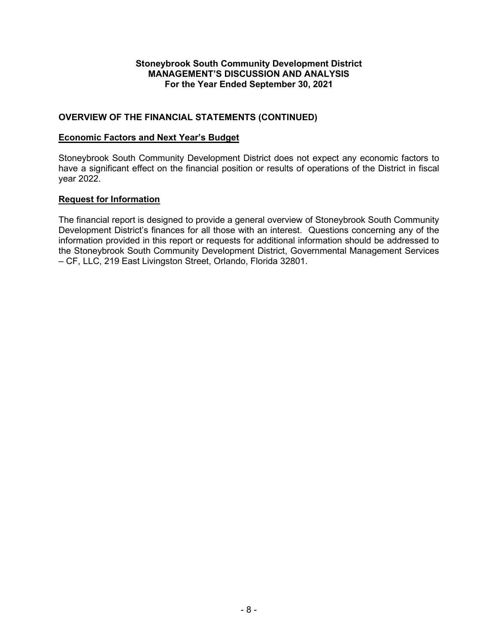# **OVERVIEW OF THE FINANCIAL STATEMENTS (CONTINUED)**

#### **Economic Factors and Next Year's Budget**

Stoneybrook South Community Development District does not expect any economic factors to have a significant effect on the financial position or results of operations of the District in fiscal year 2022.

### **Request for Information**

The financial report is designed to provide a general overview of Stoneybrook South Community Development District's finances for all those with an interest. Questions concerning any of the information provided in this report or requests for additional information should be addressed to the Stoneybrook South Community Development District, Governmental Management Services – CF, LLC, 219 East Livingston Street, Orlando, Florida 32801.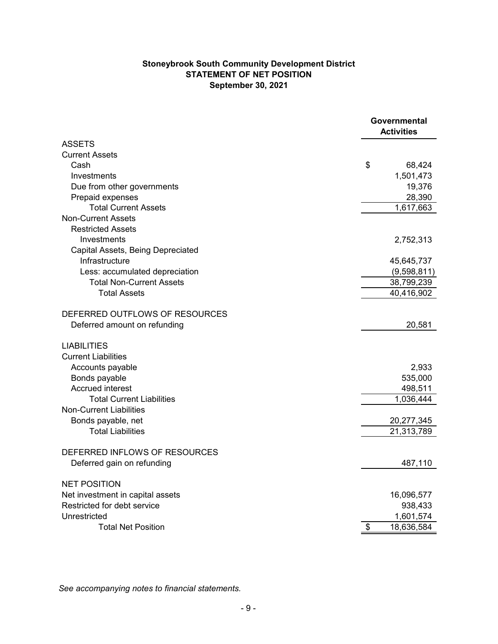### **Stoneybrook South Community Development District STATEMENT OF NET POSITION September 30, 2021**

|                                   | Governmental<br><b>Activities</b> |
|-----------------------------------|-----------------------------------|
| <b>ASSETS</b>                     |                                   |
| <b>Current Assets</b>             |                                   |
| Cash                              | \$<br>68,424                      |
| Investments                       | 1,501,473                         |
| Due from other governments        | 19,376                            |
| Prepaid expenses                  | 28,390                            |
| <b>Total Current Assets</b>       | 1,617,663                         |
| <b>Non-Current Assets</b>         |                                   |
| <b>Restricted Assets</b>          |                                   |
| Investments                       | 2,752,313                         |
| Capital Assets, Being Depreciated |                                   |
| Infrastructure                    | 45,645,737                        |
| Less: accumulated depreciation    | (9,598,811)                       |
| <b>Total Non-Current Assets</b>   | 38,799,239                        |
| <b>Total Assets</b>               | 40,416,902                        |
| DEFERRED OUTFLOWS OF RESOURCES    |                                   |
| Deferred amount on refunding      | 20,581                            |
| <b>LIABILITIES</b>                |                                   |
| <b>Current Liabilities</b>        |                                   |
| Accounts payable                  | 2,933                             |
| Bonds payable                     | 535,000                           |
| Accrued interest                  | 498,511                           |
| <b>Total Current Liabilities</b>  | 1,036,444                         |
| <b>Non-Current Liabilities</b>    |                                   |
| Bonds payable, net                | 20,277,345                        |
| <b>Total Liabilities</b>          | 21,313,789                        |
| DEFERRED INFLOWS OF RESOURCES     |                                   |
| Deferred gain on refunding        | 487,110                           |
|                                   |                                   |
| <b>NET POSITION</b>               |                                   |
| Net investment in capital assets  | 16,096,577                        |
| Restricted for debt service       | 938,433                           |
| Unrestricted                      | 1,601,574                         |
| <b>Total Net Position</b>         | \$<br>18,636,584                  |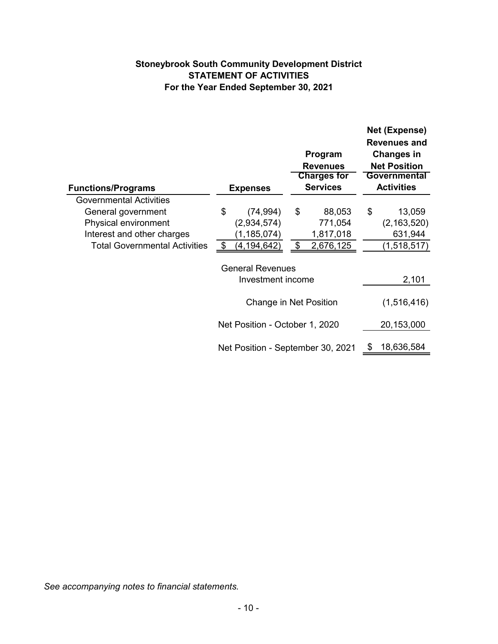# **Stoneybrook South Community Development District STATEMENT OF ACTIVITIES For the Year Ended September 30, 2021**

|                                                                                                                                                    |                                                                                                                      | Program<br><b>Revenues</b><br><b>Charges for</b>        | <b>Net (Expense)</b><br><b>Revenues and</b><br><b>Changes in</b><br><b>Net Position</b><br>Governmental |
|----------------------------------------------------------------------------------------------------------------------------------------------------|----------------------------------------------------------------------------------------------------------------------|---------------------------------------------------------|---------------------------------------------------------------------------------------------------------|
| <b>Functions/Programs</b>                                                                                                                          | <b>Expenses</b>                                                                                                      | <b>Services</b>                                         | <b>Activities</b>                                                                                       |
| <b>Governmental Activities</b><br>General government<br>Physical environment<br>Interest and other charges<br><b>Total Governmental Activities</b> | \$<br>(74, 994)<br>(2,934,574)<br>(1, 185, 074)<br>(4,194,642)<br>\$<br><b>General Revenues</b><br>Investment income | \$<br>88,053<br>771,054<br>1,817,018<br>\$<br>2,676,125 | \$<br>13,059<br>(2, 163, 520)<br>631,944<br>(1,518,517)<br>2,101                                        |
|                                                                                                                                                    | Net Position - October 1, 2020                                                                                       | Change in Net Position                                  | (1,516,416)<br>20,153,000                                                                               |
|                                                                                                                                                    | Net Position - September 30, 2021                                                                                    |                                                         | 18,636,584                                                                                              |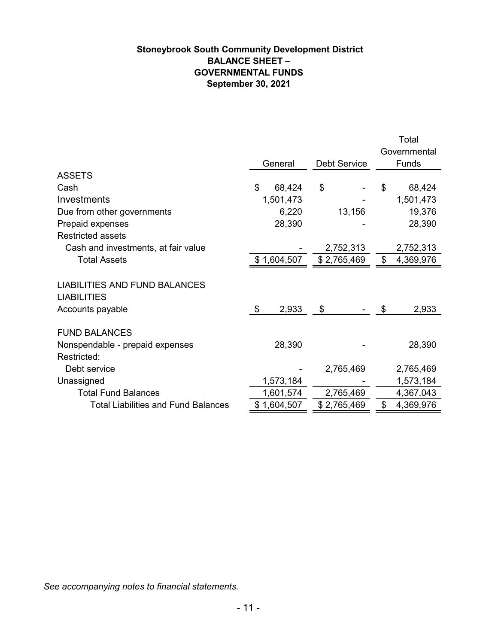# **Stoneybrook South Community Development District BALANCE SHEET – GOVERNMENTAL FUNDS September 30, 2021**

|                                            |              |                     |        | Total           |
|--------------------------------------------|--------------|---------------------|--------|-----------------|
|                                            |              |                     |        | Governmental    |
|                                            | General      | <b>Debt Service</b> |        | Funds           |
| <b>ASSETS</b>                              |              |                     |        |                 |
| Cash                                       | \$<br>68,424 | \$                  |        | \$<br>68,424    |
| Investments                                | 1,501,473    |                     |        | 1,501,473       |
| Due from other governments                 | 6,220        |                     | 13,156 | 19,376          |
| Prepaid expenses                           | 28,390       |                     |        | 28,390          |
| <b>Restricted assets</b>                   |              |                     |        |                 |
| Cash and investments, at fair value        |              | 2,752,313           |        | 2,752,313       |
| <b>Total Assets</b>                        | \$1,604,507  | \$2,765,469         |        | \$<br>4,369,976 |
|                                            |              |                     |        |                 |
| <b>LIABILITIES AND FUND BALANCES</b>       |              |                     |        |                 |
| <b>LIABILITIES</b>                         |              |                     |        |                 |
| Accounts payable                           | \$<br>2,933  | \$                  |        | \$<br>2,933     |
|                                            |              |                     |        |                 |
| <b>FUND BALANCES</b>                       |              |                     |        |                 |
| Nonspendable - prepaid expenses            | 28,390       |                     |        | 28,390          |
| Restricted:                                |              |                     |        |                 |
| Debt service                               |              | 2,765,469           |        | 2,765,469       |
| Unassigned                                 | 1,573,184    |                     |        | 1,573,184       |
| <b>Total Fund Balances</b>                 | 1,601,574    | 2,765,469           |        | 4,367,043       |
| <b>Total Liabilities and Fund Balances</b> | \$1,604,507  | \$2,765,469         |        | \$<br>4,369,976 |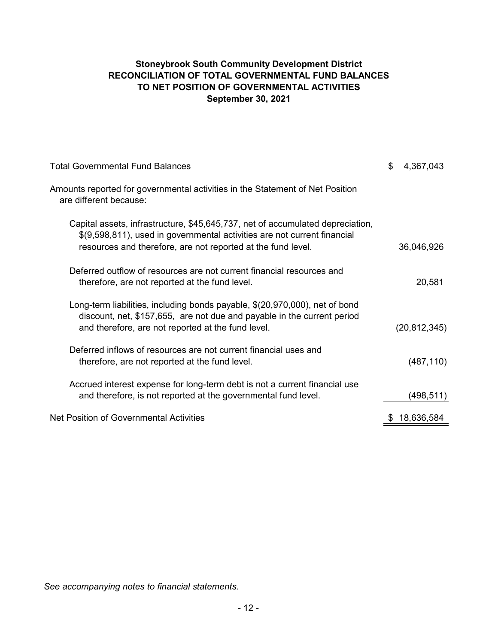# **Stoneybrook South Community Development District RECONCILIATION OF TOTAL GOVERNMENTAL FUND BALANCES TO NET POSITION OF GOVERNMENTAL ACTIVITIES September 30, 2021**

| <b>Total Governmental Fund Balances</b>                                                                                                                                                                                    | \$<br>4,367,043 |
|----------------------------------------------------------------------------------------------------------------------------------------------------------------------------------------------------------------------------|-----------------|
| Amounts reported for governmental activities in the Statement of Net Position<br>are different because:                                                                                                                    |                 |
| Capital assets, infrastructure, \$45,645,737, net of accumulated depreciation,<br>\$(9,598,811), used in governmental activities are not current financial<br>resources and therefore, are not reported at the fund level. | 36,046,926      |
| Deferred outflow of resources are not current financial resources and<br>therefore, are not reported at the fund level.                                                                                                    | 20,581          |
| Long-term liabilities, including bonds payable, \$(20,970,000), net of bond<br>discount, net, \$157,655, are not due and payable in the current period<br>and therefore, are not reported at the fund level.               | (20, 812, 345)  |
| Deferred inflows of resources are not current financial uses and<br>therefore, are not reported at the fund level.                                                                                                         | (487, 110)      |
| Accrued interest expense for long-term debt is not a current financial use<br>and therefore, is not reported at the governmental fund level.                                                                               | (498,511)       |
| <b>Net Position of Governmental Activities</b>                                                                                                                                                                             | 18,636,584      |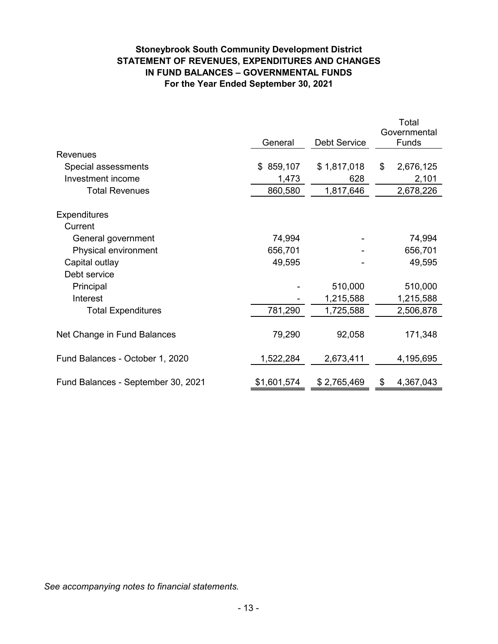# **Stoneybrook South Community Development District STATEMENT OF REVENUES, EXPENDITURES AND CHANGES IN FUND BALANCES – GOVERNMENTAL FUNDS For the Year Ended September 30, 2021**

|                                    |               |                     | Total<br>Governmental |
|------------------------------------|---------------|---------------------|-----------------------|
|                                    | General       | <b>Debt Service</b> | Funds                 |
| <b>Revenues</b>                    |               |                     |                       |
| Special assessments                | 859,107<br>\$ | \$1,817,018         | \$<br>2,676,125       |
| Investment income                  | 1,473         | 628                 | 2,101                 |
| <b>Total Revenues</b>              | 860,580       | 1,817,646           | 2,678,226             |
| <b>Expenditures</b>                |               |                     |                       |
| Current                            |               |                     |                       |
| General government                 | 74,994        |                     | 74,994                |
| Physical environment               | 656,701       |                     | 656,701               |
| Capital outlay                     | 49,595        |                     | 49,595                |
| Debt service                       |               |                     |                       |
| Principal                          |               | 510,000             | 510,000               |
| Interest                           |               | 1,215,588           | 1,215,588             |
| <b>Total Expenditures</b>          | 781,290       | 1,725,588           | 2,506,878             |
| Net Change in Fund Balances        | 79,290        | 92,058              | 171,348               |
| Fund Balances - October 1, 2020    | 1,522,284     | 2,673,411           | 4,195,695             |
| Fund Balances - September 30, 2021 | \$1,601,574   | \$2,765,469         | 4,367,043             |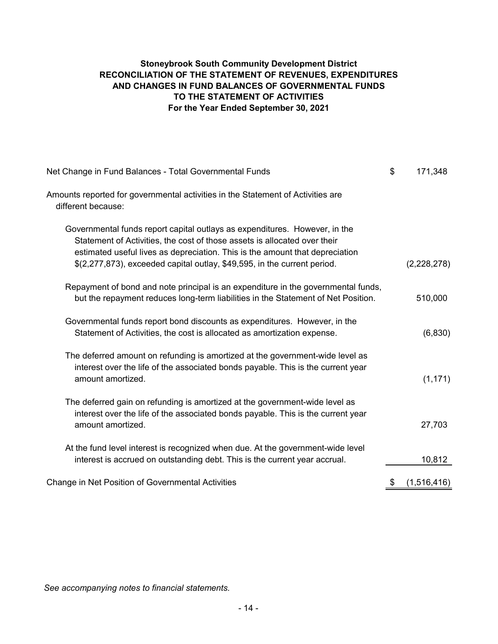# **Stoneybrook South Community Development District RECONCILIATION OF THE STATEMENT OF REVENUES, EXPENDITURES AND CHANGES IN FUND BALANCES OF GOVERNMENTAL FUNDS TO THE STATEMENT OF ACTIVITIES For the Year Ended September 30, 2021**

| Net Change in Fund Balances - Total Governmental Funds                                                                                                                                                                                                                                                                | \$<br>171,348     |
|-----------------------------------------------------------------------------------------------------------------------------------------------------------------------------------------------------------------------------------------------------------------------------------------------------------------------|-------------------|
| Amounts reported for governmental activities in the Statement of Activities are<br>different because:                                                                                                                                                                                                                 |                   |
| Governmental funds report capital outlays as expenditures. However, in the<br>Statement of Activities, the cost of those assets is allocated over their<br>estimated useful lives as depreciation. This is the amount that depreciation<br>$$(2,277,873)$ , exceeded capital outlay, \$49,595, in the current period. | (2,228,278)       |
| Repayment of bond and note principal is an expenditure in the governmental funds,<br>but the repayment reduces long-term liabilities in the Statement of Net Position.                                                                                                                                                | 510,000           |
| Governmental funds report bond discounts as expenditures. However, in the<br>Statement of Activities, the cost is allocated as amortization expense.                                                                                                                                                                  | (6, 830)          |
| The deferred amount on refunding is amortized at the government-wide level as<br>interest over the life of the associated bonds payable. This is the current year<br>amount amortized.                                                                                                                                | (1, 171)          |
| The deferred gain on refunding is amortized at the government-wide level as<br>interest over the life of the associated bonds payable. This is the current year<br>amount amortized.                                                                                                                                  | 27,703            |
| At the fund level interest is recognized when due. At the government-wide level<br>interest is accrued on outstanding debt. This is the current year accrual.                                                                                                                                                         | 10,812            |
| Change in Net Position of Governmental Activities                                                                                                                                                                                                                                                                     | \$<br>(1,516,416) |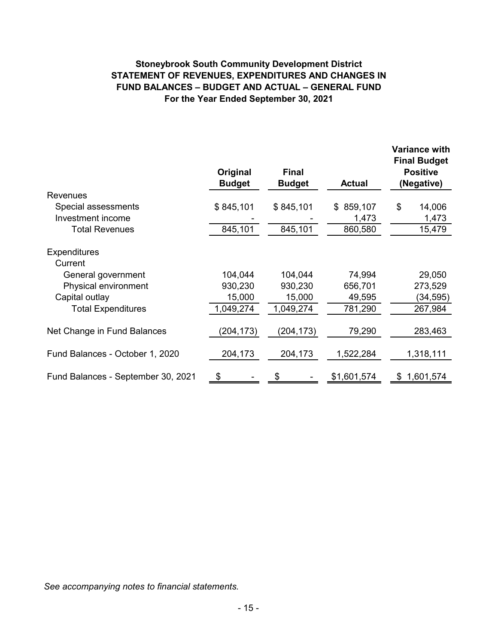# **Stoneybrook South Community Development District STATEMENT OF REVENUES, EXPENDITURES AND CHANGES IN FUND BALANCES – BUDGET AND ACTUAL – GENERAL FUND For the Year Ended September 30, 2021**

|                                    | Original<br><b>Budget</b> | <b>Final</b><br><b>Budget</b> | <b>Actual</b> | <b>Variance with</b><br><b>Final Budget</b><br><b>Positive</b><br>(Negative) |
|------------------------------------|---------------------------|-------------------------------|---------------|------------------------------------------------------------------------------|
| Revenues                           |                           |                               |               |                                                                              |
| Special assessments                | \$845,101                 | \$845,101                     | 859,107<br>\$ | \$<br>14,006                                                                 |
| Investment income                  |                           |                               | 1,473         | 1,473                                                                        |
| <b>Total Revenues</b>              | 845,101                   | 845,101                       | 860,580       | 15,479                                                                       |
| <b>Expenditures</b><br>Current     |                           |                               |               |                                                                              |
| General government                 | 104,044                   | 104,044                       | 74,994        | 29,050                                                                       |
| Physical environment               | 930,230                   | 930,230                       | 656,701       | 273,529                                                                      |
| Capital outlay                     | 15,000                    | 15,000                        | 49,595        | (34,595)                                                                     |
| <b>Total Expenditures</b>          | 1,049,274                 | 1,049,274                     | 781,290       | 267,984                                                                      |
| Net Change in Fund Balances        | (204, 173)                | (204, 173)                    | 79,290        | 283,463                                                                      |
| Fund Balances - October 1, 2020    | 204,173                   | 204,173                       | 1,522,284     | 1,318,111                                                                    |
| Fund Balances - September 30, 2021 |                           |                               | \$1,601,574   | 1,601,574<br>S                                                               |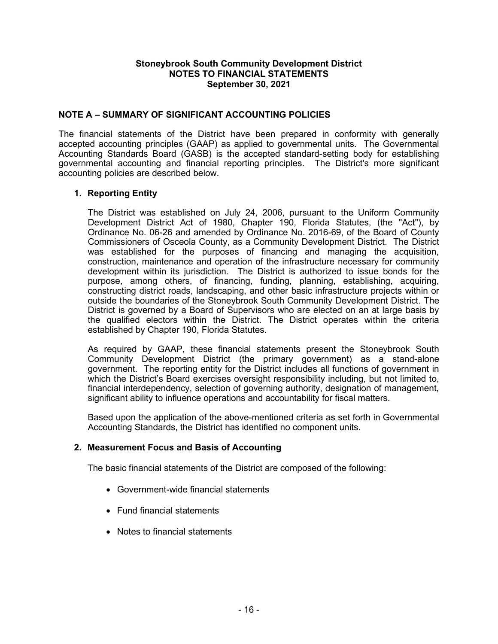# **NOTE A – SUMMARY OF SIGNIFICANT ACCOUNTING POLICIES**

The financial statements of the District have been prepared in conformity with generally accepted accounting principles (GAAP) as applied to governmental units. The Governmental Accounting Standards Board (GASB) is the accepted standard-setting body for establishing governmental accounting and financial reporting principles. The District's more significant accounting policies are described below.

### **1. Reporting Entity**

The District was established on July 24, 2006, pursuant to the Uniform Community Development District Act of 1980, Chapter 190, Florida Statutes, (the "Act"), by Ordinance No. 06-26 and amended by Ordinance No. 2016-69, of the Board of County Commissioners of Osceola County, as a Community Development District. The District was established for the purposes of financing and managing the acquisition, construction, maintenance and operation of the infrastructure necessary for community development within its jurisdiction. The District is authorized to issue bonds for the purpose, among others, of financing, funding, planning, establishing, acquiring, constructing district roads, landscaping, and other basic infrastructure projects within or outside the boundaries of the Stoneybrook South Community Development District. The District is governed by a Board of Supervisors who are elected on an at large basis by the qualified electors within the District. The District operates within the criteria established by Chapter 190, Florida Statutes.

As required by GAAP, these financial statements present the Stoneybrook South Community Development District (the primary government) as a stand-alone government. The reporting entity for the District includes all functions of government in which the District's Board exercises oversight responsibility including, but not limited to, financial interdependency, selection of governing authority, designation of management, significant ability to influence operations and accountability for fiscal matters.

Based upon the application of the above-mentioned criteria as set forth in Governmental Accounting Standards, the District has identified no component units.

### **2. Measurement Focus and Basis of Accounting**

The basic financial statements of the District are composed of the following:

- Government-wide financial statements
- Fund financial statements
- Notes to financial statements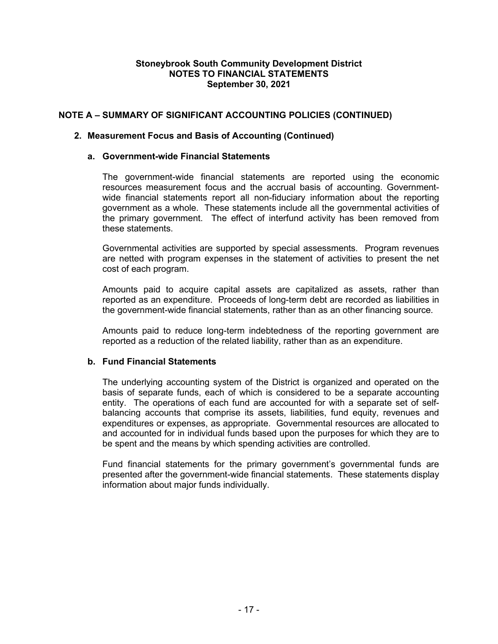# **NOTE A – SUMMARY OF SIGNIFICANT ACCOUNTING POLICIES (CONTINUED)**

#### **2. Measurement Focus and Basis of Accounting (Continued)**

#### **a. Government-wide Financial Statements**

The government-wide financial statements are reported using the economic resources measurement focus and the accrual basis of accounting. Governmentwide financial statements report all non-fiduciary information about the reporting government as a whole. These statements include all the governmental activities of the primary government. The effect of interfund activity has been removed from these statements.

Governmental activities are supported by special assessments. Program revenues are netted with program expenses in the statement of activities to present the net cost of each program.

Amounts paid to acquire capital assets are capitalized as assets, rather than reported as an expenditure. Proceeds of long-term debt are recorded as liabilities in the government-wide financial statements, rather than as an other financing source.

Amounts paid to reduce long-term indebtedness of the reporting government are reported as a reduction of the related liability, rather than as an expenditure.

### **b. Fund Financial Statements**

The underlying accounting system of the District is organized and operated on the basis of separate funds, each of which is considered to be a separate accounting entity. The operations of each fund are accounted for with a separate set of selfbalancing accounts that comprise its assets, liabilities, fund equity, revenues and expenditures or expenses, as appropriate. Governmental resources are allocated to and accounted for in individual funds based upon the purposes for which they are to be spent and the means by which spending activities are controlled.

Fund financial statements for the primary government's governmental funds are presented after the government-wide financial statements. These statements display information about major funds individually.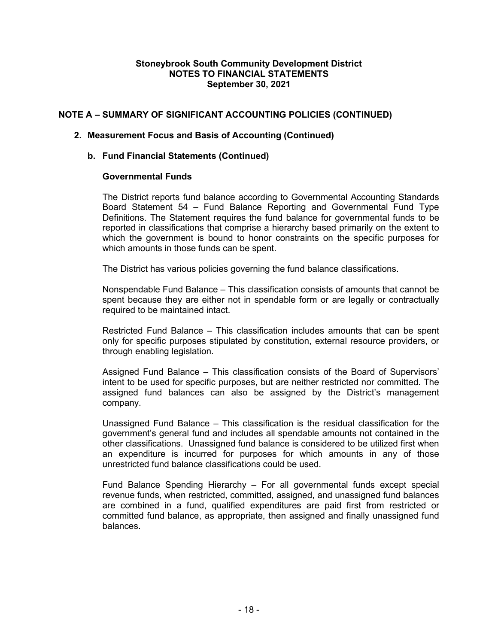# **NOTE A – SUMMARY OF SIGNIFICANT ACCOUNTING POLICIES (CONTINUED)**

### **2. Measurement Focus and Basis of Accounting (Continued)**

### **b. Fund Financial Statements (Continued)**

### **Governmental Funds**

The District reports fund balance according to Governmental Accounting Standards Board Statement 54 – Fund Balance Reporting and Governmental Fund Type Definitions. The Statement requires the fund balance for governmental funds to be reported in classifications that comprise a hierarchy based primarily on the extent to which the government is bound to honor constraints on the specific purposes for which amounts in those funds can be spent.

The District has various policies governing the fund balance classifications.

Nonspendable Fund Balance – This classification consists of amounts that cannot be spent because they are either not in spendable form or are legally or contractually required to be maintained intact.

Restricted Fund Balance *–* This classification includes amounts that can be spent only for specific purposes stipulated by constitution, external resource providers, or through enabling legislation.

Assigned Fund Balance – This classification consists of the Board of Supervisors' intent to be used for specific purposes, but are neither restricted nor committed. The assigned fund balances can also be assigned by the District's management company.

Unassigned Fund Balance – This classification is the residual classification for the government's general fund and includes all spendable amounts not contained in the other classifications. Unassigned fund balance is considered to be utilized first when an expenditure is incurred for purposes for which amounts in any of those unrestricted fund balance classifications could be used.

Fund Balance Spending Hierarchy – For all governmental funds except special revenue funds, when restricted, committed, assigned, and unassigned fund balances are combined in a fund, qualified expenditures are paid first from restricted or committed fund balance, as appropriate, then assigned and finally unassigned fund balances.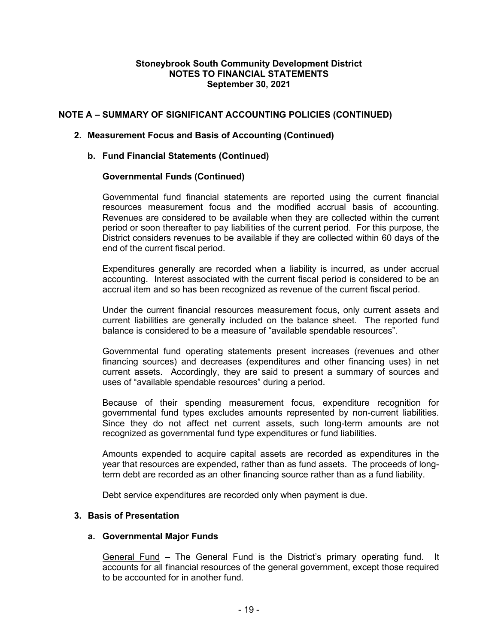# **NOTE A – SUMMARY OF SIGNIFICANT ACCOUNTING POLICIES (CONTINUED)**

#### **2. Measurement Focus and Basis of Accounting (Continued)**

#### **b. Fund Financial Statements (Continued)**

#### **Governmental Funds (Continued)**

Governmental fund financial statements are reported using the current financial resources measurement focus and the modified accrual basis of accounting. Revenues are considered to be available when they are collected within the current period or soon thereafter to pay liabilities of the current period. For this purpose, the District considers revenues to be available if they are collected within 60 days of the end of the current fiscal period.

Expenditures generally are recorded when a liability is incurred, as under accrual accounting. Interest associated with the current fiscal period is considered to be an accrual item and so has been recognized as revenue of the current fiscal period.

Under the current financial resources measurement focus, only current assets and current liabilities are generally included on the balance sheet. The reported fund balance is considered to be a measure of "available spendable resources".

Governmental fund operating statements present increases (revenues and other financing sources) and decreases (expenditures and other financing uses) in net current assets. Accordingly, they are said to present a summary of sources and uses of "available spendable resources" during a period.

Because of their spending measurement focus, expenditure recognition for governmental fund types excludes amounts represented by non-current liabilities. Since they do not affect net current assets, such long-term amounts are not recognized as governmental fund type expenditures or fund liabilities.

Amounts expended to acquire capital assets are recorded as expenditures in the year that resources are expended, rather than as fund assets. The proceeds of longterm debt are recorded as an other financing source rather than as a fund liability.

Debt service expenditures are recorded only when payment is due.

### **3. Basis of Presentation**

#### **a. Governmental Major Funds**

General Fund – The General Fund is the District's primary operating fund. It accounts for all financial resources of the general government, except those required to be accounted for in another fund.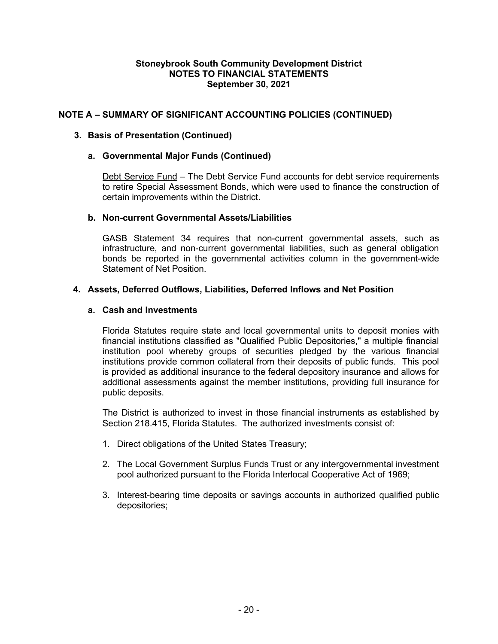# **NOTE A – SUMMARY OF SIGNIFICANT ACCOUNTING POLICIES (CONTINUED)**

#### **3. Basis of Presentation (Continued)**

#### **a. Governmental Major Funds (Continued)**

Debt Service Fund – The Debt Service Fund accounts for debt service requirements to retire Special Assessment Bonds, which were used to finance the construction of certain improvements within the District.

#### **b. Non-current Governmental Assets/Liabilities**

GASB Statement 34 requires that non-current governmental assets, such as infrastructure, and non-current governmental liabilities, such as general obligation bonds be reported in the governmental activities column in the government-wide Statement of Net Position.

#### **4. Assets, Deferred Outflows, Liabilities, Deferred Inflows and Net Position**

#### **a. Cash and Investments**

Florida Statutes require state and local governmental units to deposit monies with financial institutions classified as "Qualified Public Depositories," a multiple financial institution pool whereby groups of securities pledged by the various financial institutions provide common collateral from their deposits of public funds. This pool is provided as additional insurance to the federal depository insurance and allows for additional assessments against the member institutions, providing full insurance for public deposits.

The District is authorized to invest in those financial instruments as established by Section 218.415, Florida Statutes. The authorized investments consist of:

- 1. Direct obligations of the United States Treasury;
- 2. The Local Government Surplus Funds Trust or any intergovernmental investment pool authorized pursuant to the Florida Interlocal Cooperative Act of 1969;
- 3. Interest-bearing time deposits or savings accounts in authorized qualified public depositories;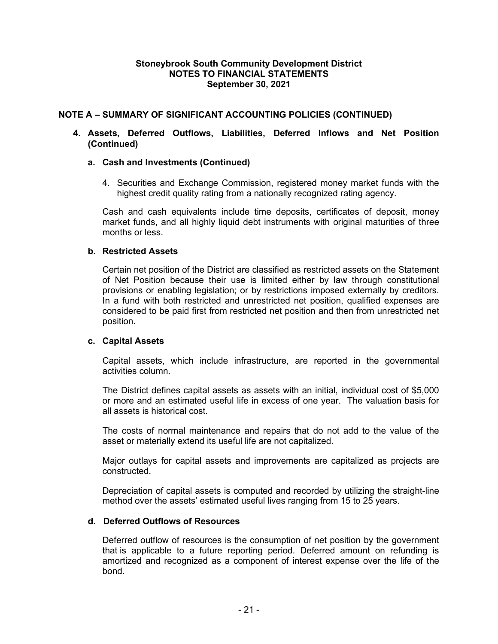### **NOTE A – SUMMARY OF SIGNIFICANT ACCOUNTING POLICIES (CONTINUED)**

### **4. Assets, Deferred Outflows, Liabilities, Deferred Inflows and Net Position (Continued)**

#### **a. Cash and Investments (Continued)**

4. Securities and Exchange Commission, registered money market funds with the highest credit quality rating from a nationally recognized rating agency.

Cash and cash equivalents include time deposits, certificates of deposit, money market funds, and all highly liquid debt instruments with original maturities of three months or less.

#### **b. Restricted Assets**

Certain net position of the District are classified as restricted assets on the Statement of Net Position because their use is limited either by law through constitutional provisions or enabling legislation; or by restrictions imposed externally by creditors. In a fund with both restricted and unrestricted net position, qualified expenses are considered to be paid first from restricted net position and then from unrestricted net position.

#### **c. Capital Assets**

Capital assets, which include infrastructure, are reported in the governmental activities column.

The District defines capital assets as assets with an initial, individual cost of \$5,000 or more and an estimated useful life in excess of one year. The valuation basis for all assets is historical cost.

The costs of normal maintenance and repairs that do not add to the value of the asset or materially extend its useful life are not capitalized.

Major outlays for capital assets and improvements are capitalized as projects are constructed.

Depreciation of capital assets is computed and recorded by utilizing the straight-line method over the assets' estimated useful lives ranging from 15 to 25 years.

### **d. Deferred Outflows of Resources**

Deferred outflow of resources is the consumption of net position by the government that is applicable to a future reporting period. Deferred amount on refunding is amortized and recognized as a component of interest expense over the life of the bond.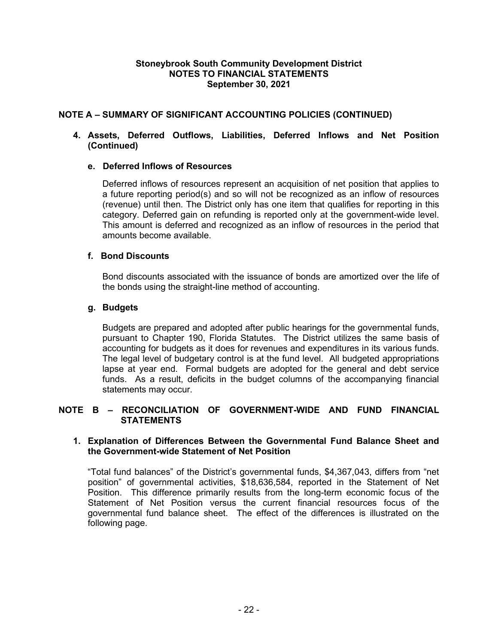# **NOTE A – SUMMARY OF SIGNIFICANT ACCOUNTING POLICIES (CONTINUED)**

### **4. Assets, Deferred Outflows, Liabilities, Deferred Inflows and Net Position (Continued)**

### **e. Deferred Inflows of Resources**

Deferred inflows of resources represent an acquisition of net position that applies to a future reporting period(s) and so will not be recognized as an inflow of resources (revenue) until then. The District only has one item that qualifies for reporting in this category. Deferred gain on refunding is reported only at the government-wide level. This amount is deferred and recognized as an inflow of resources in the period that amounts become available.

#### **f. Bond Discounts**

Bond discounts associated with the issuance of bonds are amortized over the life of the bonds using the straight-line method of accounting.

### **g. Budgets**

Budgets are prepared and adopted after public hearings for the governmental funds, pursuant to Chapter 190, Florida Statutes. The District utilizes the same basis of accounting for budgets as it does for revenues and expenditures in its various funds. The legal level of budgetary control is at the fund level. All budgeted appropriations lapse at year end. Formal budgets are adopted for the general and debt service funds. As a result, deficits in the budget columns of the accompanying financial statements may occur.

#### **NOTE B – RECONCILIATION OF GOVERNMENT-WIDE AND FUND FINANCIAL STATEMENTS**

#### **1. Explanation of Differences Between the Governmental Fund Balance Sheet and the Government-wide Statement of Net Position**

"Total fund balances" of the District's governmental funds, \$4,367,043, differs from "net position" of governmental activities, \$18,636,584, reported in the Statement of Net Position. This difference primarily results from the long-term economic focus of the Statement of Net Position versus the current financial resources focus of the governmental fund balance sheet. The effect of the differences is illustrated on the following page.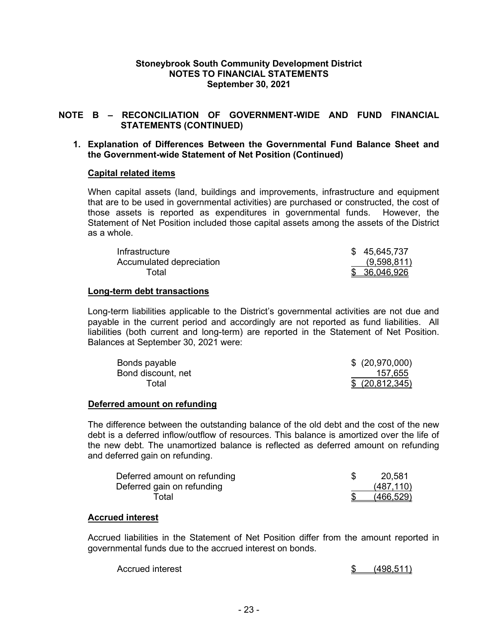### **NOTE B – RECONCILIATION OF GOVERNMENT-WIDE AND FUND FINANCIAL STATEMENTS (CONTINUED)**

#### **1. Explanation of Differences Between the Governmental Fund Balance Sheet and the Government-wide Statement of Net Position (Continued)**

#### **Capital related items**

When capital assets (land, buildings and improvements, infrastructure and equipment that are to be used in governmental activities) are purchased or constructed, the cost of those assets is reported as expenditures in governmental funds. However, the Statement of Net Position included those capital assets among the assets of the District as a whole.

| Infrastructure           | \$45,645,737  |
|--------------------------|---------------|
| Accumulated depreciation | (9,598,811)   |
| Total                    | \$ 36,046,926 |

#### **Long-term debt transactions**

Long-term liabilities applicable to the District's governmental activities are not due and payable in the current period and accordingly are not reported as fund liabilities. All liabilities (both current and long-term) are reported in the Statement of Net Position. Balances at September 30, 2021 were:

| Bonds payable      | \$ (20,970,000)   |
|--------------------|-------------------|
| Bond discount, net | 157.655           |
| Total              | \$ (20, 812, 345) |

#### **Deferred amount on refunding**

The difference between the outstanding balance of the old debt and the cost of the new debt is a deferred inflow/outflow of resources. This balance is amortized over the life of the new debt. The unamortized balance is reflected as deferred amount on refunding and deferred gain on refunding.

| Deferred amount on refunding | 20,581     |
|------------------------------|------------|
| Deferred gain on refunding   | (487, 110) |
| Total                        | (466, 529) |

#### **Accrued interest**

Accrued liabilities in the Statement of Net Position differ from the amount reported in governmental funds due to the accrued interest on bonds.

Accrued interest the state of the state of the state of the state of the state of the state of the state of the state of the state of the state of the state of the state of the state of the state of the state of the state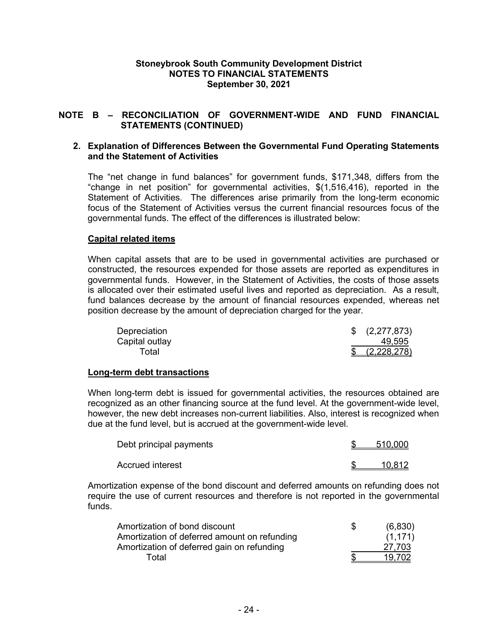### **NOTE B – RECONCILIATION OF GOVERNMENT-WIDE AND FUND FINANCIAL STATEMENTS (CONTINUED)**

#### **2. Explanation of Differences Between the Governmental Fund Operating Statements and the Statement of Activities**

The "net change in fund balances" for government funds, \$171,348, differs from the "change in net position" for governmental activities, \$(1,516,416), reported in the Statement of Activities. The differences arise primarily from the long-term economic focus of the Statement of Activities versus the current financial resources focus of the governmental funds. The effect of the differences is illustrated below:

### **Capital related items**

When capital assets that are to be used in governmental activities are purchased or constructed, the resources expended for those assets are reported as expenditures in governmental funds. However, in the Statement of Activities, the costs of those assets is allocated over their estimated useful lives and reported as depreciation. As a result, fund balances decrease by the amount of financial resources expended, whereas net position decrease by the amount of depreciation charged for the year.

| Depreciation   | \$ (2,277,873) |
|----------------|----------------|
| Capital outlay | 49.595         |
| Total          | (2,228,278)    |

#### **Long-term debt transactions**

When long-term debt is issued for governmental activities, the resources obtained are recognized as an other financing source at the fund level. At the government-wide level, however, the new debt increases non-current liabilities. Also, interest is recognized when due at the fund level, but is accrued at the government-wide level.

| Debt principal payments | 510.000 |
|-------------------------|---------|
| Accrued interest        | 10.812  |

Amortization expense of the bond discount and deferred amounts on refunding does not require the use of current resources and therefore is not reported in the governmental funds.

| Amortization of bond discount                | (6,830)  |
|----------------------------------------------|----------|
| Amortization of deferred amount on refunding | (1, 171) |
| Amortization of deferred gain on refunding   | 27,703   |
| Total                                        | 19,702   |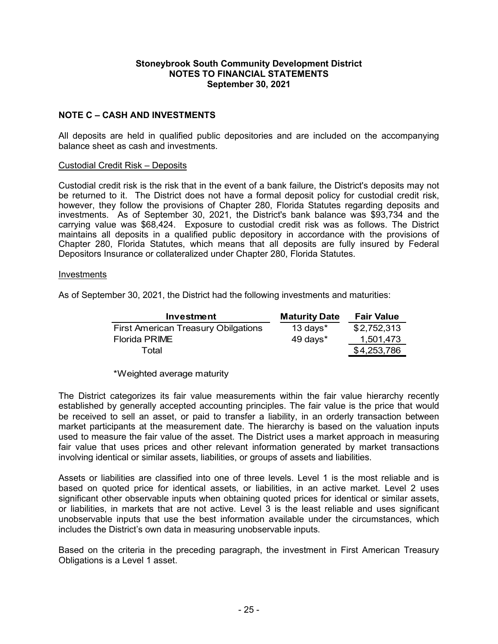### **NOTE C – CASH AND INVESTMENTS**

All deposits are held in qualified public depositories and are included on the accompanying balance sheet as cash and investments.

#### Custodial Credit Risk – Deposits

Custodial credit risk is the risk that in the event of a bank failure, the District's deposits may not be returned to it. The District does not have a formal deposit policy for custodial credit risk, however, they follow the provisions of Chapter 280, Florida Statutes regarding deposits and investments. As of September 30, 2021, the District's bank balance was \$93,734 and the carrying value was \$68,424. Exposure to custodial credit risk was as follows. The District maintains all deposits in a qualified public depository in accordance with the provisions of Chapter 280, Florida Statutes, which means that all deposits are fully insured by Federal Depositors Insurance or collateralized under Chapter 280, Florida Statutes.

#### Investments

As of September 30, 2021, the District had the following investments and maturities:

| Investment                                 | <b>Maturity Date</b> | <b>Fair Value</b> |
|--------------------------------------------|----------------------|-------------------|
| <b>First American Treasury Obilgations</b> | 13 days*             | \$2,752,313       |
| <b>Florida PRIME</b>                       | 49 days*             | 1,501,473         |
| Total                                      |                      | \$4,253,786       |

### \*Weighted average maturity

The District categorizes its fair value measurements within the fair value hierarchy recently established by generally accepted accounting principles. The fair value is the price that would be received to sell an asset, or paid to transfer a liability, in an orderly transaction between market participants at the measurement date. The hierarchy is based on the valuation inputs used to measure the fair value of the asset. The District uses a market approach in measuring fair value that uses prices and other relevant information generated by market transactions involving identical or similar assets, liabilities, or groups of assets and liabilities.

Assets or liabilities are classified into one of three levels. Level 1 is the most reliable and is based on quoted price for identical assets, or liabilities, in an active market. Level 2 uses significant other observable inputs when obtaining quoted prices for identical or similar assets, or liabilities, in markets that are not active. Level 3 is the least reliable and uses significant unobservable inputs that use the best information available under the circumstances, which includes the District's own data in measuring unobservable inputs.

Based on the criteria in the preceding paragraph, the investment in First American Treasury Obligations is a Level 1 asset.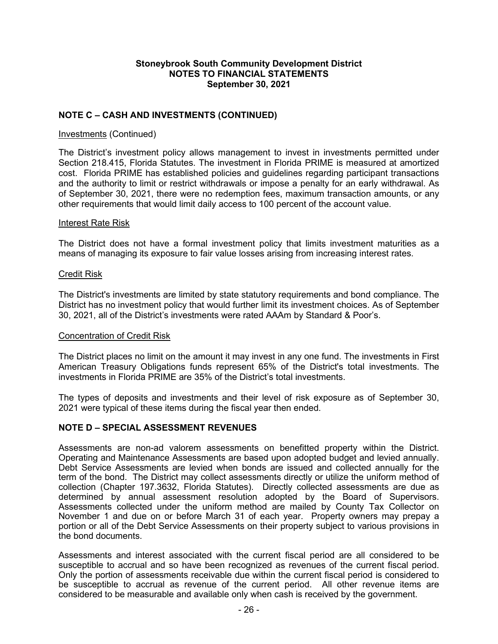### **NOTE C – CASH AND INVESTMENTS (CONTINUED)**

#### **Investments (Continued)**

The District's investment policy allows management to invest in investments permitted under Section 218.415, Florida Statutes. The investment in Florida PRIME is measured at amortized cost. Florida PRIME has established policies and guidelines regarding participant transactions and the authority to limit or restrict withdrawals or impose a penalty for an early withdrawal. As of September 30, 2021, there were no redemption fees, maximum transaction amounts, or any other requirements that would limit daily access to 100 percent of the account value.

#### Interest Rate Risk

The District does not have a formal investment policy that limits investment maturities as a means of managing its exposure to fair value losses arising from increasing interest rates.

#### Credit Risk

The District's investments are limited by state statutory requirements and bond compliance. The District has no investment policy that would further limit its investment choices. As of September 30, 2021, all of the District's investments were rated AAAm by Standard & Poor's.

#### Concentration of Credit Risk

The District places no limit on the amount it may invest in any one fund. The investments in First American Treasury Obligations funds represent 65% of the District's total investments. The investments in Florida PRIME are 35% of the District's total investments.

The types of deposits and investments and their level of risk exposure as of September 30, 2021 were typical of these items during the fiscal year then ended.

#### **NOTE D – SPECIAL ASSESSMENT REVENUES**

Assessments are non-ad valorem assessments on benefitted property within the District. Operating and Maintenance Assessments are based upon adopted budget and levied annually. Debt Service Assessments are levied when bonds are issued and collected annually for the term of the bond. The District may collect assessments directly or utilize the uniform method of collection (Chapter 197.3632, Florida Statutes). Directly collected assessments are due as determined by annual assessment resolution adopted by the Board of Supervisors. Assessments collected under the uniform method are mailed by County Tax Collector on November 1 and due on or before March 31 of each year. Property owners may prepay a portion or all of the Debt Service Assessments on their property subject to various provisions in the bond documents.

Assessments and interest associated with the current fiscal period are all considered to be susceptible to accrual and so have been recognized as revenues of the current fiscal period. Only the portion of assessments receivable due within the current fiscal period is considered to be susceptible to accrual as revenue of the current period. All other revenue items are considered to be measurable and available only when cash is received by the government.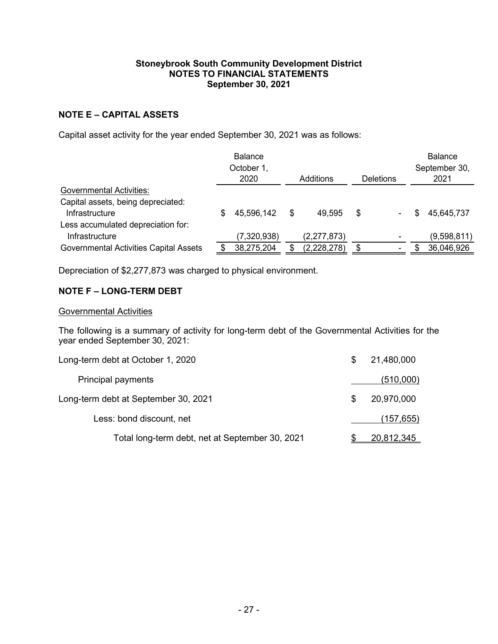# **NOTE E – CAPITAL ASSETS**

Capital asset activity for the year ended September 30, 2021 was as follows:

|                                               | <b>Balance</b><br>October 1,<br>2020 | Additions    | <b>Deletions</b> |   | <b>Balance</b><br>September 30,<br>2021 |
|-----------------------------------------------|--------------------------------------|--------------|------------------|---|-----------------------------------------|
| <b>Governmental Activities:</b>               |                                      |              |                  |   |                                         |
| Capital assets, being depreciated:            |                                      |              |                  |   |                                         |
| Infrastructure                                | 45,596,142                           | \$<br>49,595 | \$               | S | 45,645,737                              |
| Less accumulated depreciation for:            |                                      |              |                  |   |                                         |
| Infrastructure                                | (7,320,938)                          | (2,277,873)  |                  |   | (9,598,811)                             |
| <b>Governmental Activities Capital Assets</b> | 38,275,204                           | (2,228,278)  |                  |   | 36,046,926                              |

Depreciation of \$2,277,873 was charged to physical environment.

# **NOTE F – LONG-TERM DEBT**

# Governmental Activities

The following is a summary of activity for long-term debt of the Governmental Activities for the year ended September 30, 2021:

| Long-term debt at October 1, 2020               | 21,480,000        |
|-------------------------------------------------|-------------------|
| Principal payments                              | (510,000)         |
| Long-term debt at September 30, 2021            | 20,970,000        |
| Less: bond discount, net                        | (157, 655)        |
| Total long-term debt, net at September 30, 2021 | <u>20,812,345</u> |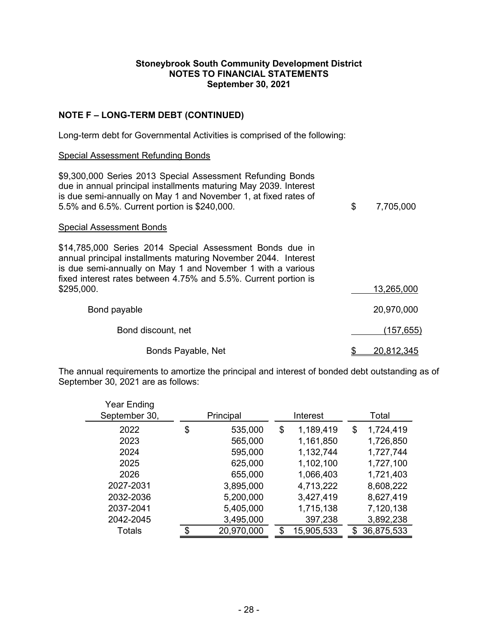# **NOTE F – LONG-TERM DEBT (CONTINUED)**

Long-term debt for Governmental Activities is comprised of the following:

#### Special Assessment Refunding Bonds

| \$9,300,000 Series 2013 Special Assessment Refunding Bonds<br>due in annual principal installments maturing May 2039. Interest<br>is due semi-annually on May 1 and November 1, at fixed rates of<br>5.5% and 6.5%. Current portion is \$240,000.            | \$<br>7,705,000 |
|--------------------------------------------------------------------------------------------------------------------------------------------------------------------------------------------------------------------------------------------------------------|-----------------|
| <b>Special Assessment Bonds</b>                                                                                                                                                                                                                              |                 |
| \$14,785,000 Series 2014 Special Assessment Bonds due in<br>annual principal installments maturing November 2044. Interest<br>is due semi-annually on May 1 and November 1 with a various<br>fixed interest rates between 4.75% and 5.5%. Current portion is |                 |
| \$295,000.                                                                                                                                                                                                                                                   | 13,265,000      |

| Bond payable       | 20,970,000 |
|--------------------|------------|
| Bond discount, net | (157, 655) |
| Bonds Payable, Net | 20,812,345 |

The annual requirements to amortize the principal and interest of bonded debt outstanding as of September 30, 2021 are as follows:

| Year Ending<br>September 30, | Principal<br>Interest |    |            |    | Total      |
|------------------------------|-----------------------|----|------------|----|------------|
| 2022                         | \$<br>535,000         | \$ | 1,189,419  | \$ | 1,724,419  |
| 2023                         | 565,000               |    | 1,161,850  |    | 1,726,850  |
| 2024                         | 595,000               |    | 1,132,744  |    | 1,727,744  |
| 2025                         | 625,000               |    | 1,102,100  |    | 1,727,100  |
| 2026                         | 655,000               |    | 1,066,403  |    | 1,721,403  |
| 2027-2031                    | 3,895,000             |    | 4,713,222  |    | 8,608,222  |
| 2032-2036                    | 5,200,000             |    | 3,427,419  |    | 8,627,419  |
| 2037-2041                    | 5,405,000             |    | 1,715,138  |    | 7,120,138  |
| 2042-2045                    | 3,495,000             |    | 397,238    |    | 3,892,238  |
| Totals                       | 20,970,000            | S  | 15,905,533 | S  | 36,875,533 |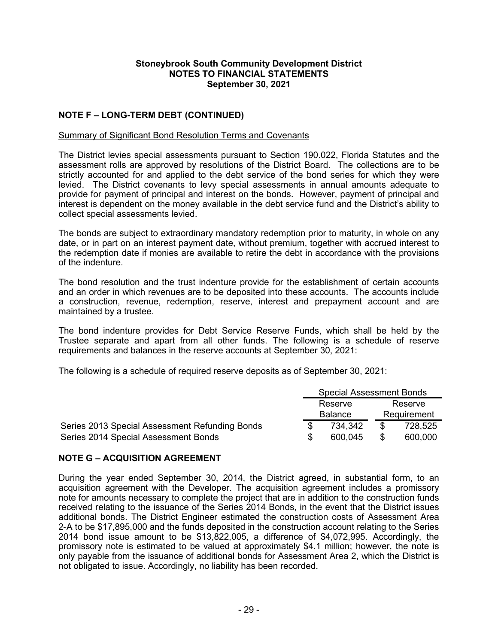# **NOTE F – LONG-TERM DEBT (CONTINUED)**

#### Summary of Significant Bond Resolution Terms and Covenants

The District levies special assessments pursuant to Section 190.022, Florida Statutes and the assessment rolls are approved by resolutions of the District Board. The collections are to be strictly accounted for and applied to the debt service of the bond series for which they were levied. The District covenants to levy special assessments in annual amounts adequate to provide for payment of principal and interest on the bonds. However, payment of principal and interest is dependent on the money available in the debt service fund and the District's ability to collect special assessments levied.

The bonds are subject to extraordinary mandatory redemption prior to maturity, in whole on any date, or in part on an interest payment date, without premium, together with accrued interest to the redemption date if monies are available to retire the debt in accordance with the provisions of the indenture.

The bond resolution and the trust indenture provide for the establishment of certain accounts and an order in which revenues are to be deposited into these accounts. The accounts include a construction, revenue, redemption, reserve, interest and prepayment account and are maintained by a trustee.

The bond indenture provides for Debt Service Reserve Funds, which shall be held by the Trustee separate and apart from all other funds. The following is a schedule of reserve requirements and balances in the reserve accounts at September 30, 2021:

The following is a schedule of required reserve deposits as of September 30, 2021:

|                                                | <b>Special Assessment Bonds</b>      |         |  |             |  |
|------------------------------------------------|--------------------------------------|---------|--|-------------|--|
|                                                | Reserve<br>Reserve<br><b>Balance</b> |         |  |             |  |
|                                                |                                      |         |  | Requirement |  |
| Series 2013 Special Assessment Refunding Bonds |                                      | 734.342 |  | 728.525     |  |
| Series 2014 Special Assessment Bonds           |                                      | 600.045 |  | 600,000     |  |

### **NOTE G – ACQUISITION AGREEMENT**

During the year ended September 30, 2014, the District agreed, in substantial form, to an acquisition agreement with the Developer. The acquisition agreement includes a promissory note for amounts necessary to complete the project that are in addition to the construction funds received relating to the issuance of the Series 2014 Bonds, in the event that the District issues additional bonds. The District Engineer estimated the construction costs of Assessment Area 2‐A to be \$17,895,000 and the funds deposited in the construction account relating to the Series 2014 bond issue amount to be \$13,822,005, a difference of \$4,072,995. Accordingly, the promissory note is estimated to be valued at approximately \$4.1 million; however, the note is only payable from the issuance of additional bonds for Assessment Area 2, which the District is not obligated to issue. Accordingly, no liability has been recorded.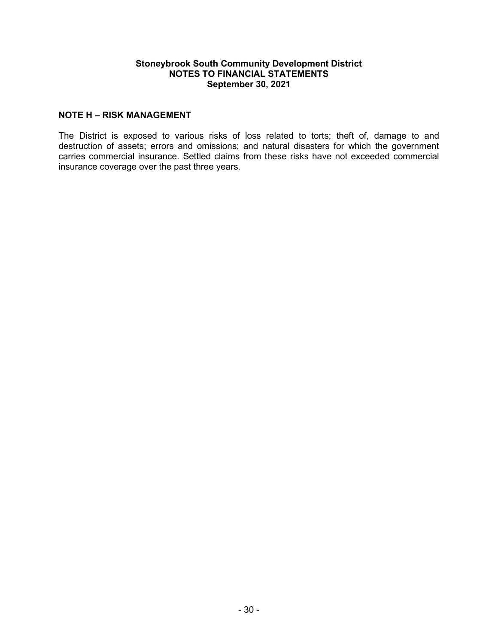### **NOTE H – RISK MANAGEMENT**

The District is exposed to various risks of loss related to torts; theft of, damage to and destruction of assets; errors and omissions; and natural disasters for which the government carries commercial insurance. Settled claims from these risks have not exceeded commercial insurance coverage over the past three years.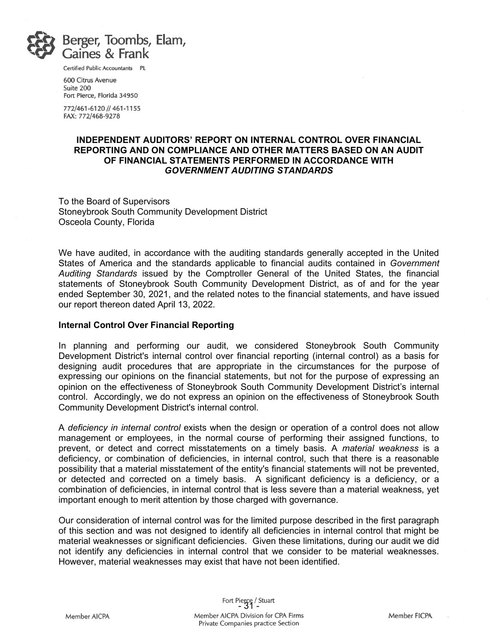

Certified Public Accountants PL

600 Citrus Avenue Suite 200 Fort Pierce, Florida 34950

772/461-6120 // 461-1155 FAX: 772/468-9278

#### **INDEPENDENT AUDITORS' REPORT ON INTERNAL CONTROL OVER FINANCIAL REPORTING AND ON COMPLIANCE AND OTHER MATTERS BASED ON AN AUDIT OF FINANCIAL STATEMENTS PERFORMED IN ACCORDANCE WITH** *GOVERNMENT AUDITING STANDARDS*

To the Board of Supervisors Stoneybrook South Community Development District Osceola County, Florida

We have audited, in accordance with the auditing standards generally accepted in the United States of America and the standards applicable to financial audits contained in *Government Auditing Standards* issued by the Comptroller General of the United States, the financial statements of Stoneybrook South Community Development District, as of and for the year ended September 30, 2021, and the related notes to the financial statements, and have issued our report thereon dated April 13, 2022.

#### **Internal Control Over Financial Reporting**

In planning and performing our audit, we considered Stoneybrook South Community Development District's internal control over financial reporting (internal control) as a basis for designing audit procedures that are appropriate in the circumstances for the purpose of expressing our opinions on the financial statements, but not for the purpose of expressing an opinion on the effectiveness of Stoneybrook South Community Development District's internal control. Accordingly, we do not express an opinion on the effectiveness of Stoneybrook South Community Development District's internal control.

A *deficiency in internal control* exists when the design or operation of a control does not allow management or employees, in the normal course of performing their assigned functions, to prevent, or detect and correct misstatements on a timely basis. A *material weakness* is a deficiency, or combination of deficiencies, in internal control, such that there is a reasonable possibility that a material misstatement of the entity's financial statements will not be prevented, or detected and corrected on a timely basis. A significant deficiency is a deficiency, or a combination of deficiencies, in internal control that is less severe than a material weakness, yet important enough to merit attention by those charged with governance.

Our consideration of internal control was for the limited purpose described in the first paragraph of this section and was not designed to identify all deficiencies in internal control that might be material weaknesses or significant deficiencies. Given these limitations, during our audit we did not identify any deficiencies in internal control that we consider to be material weaknesses. However, material weaknesses may exist that have not been identified.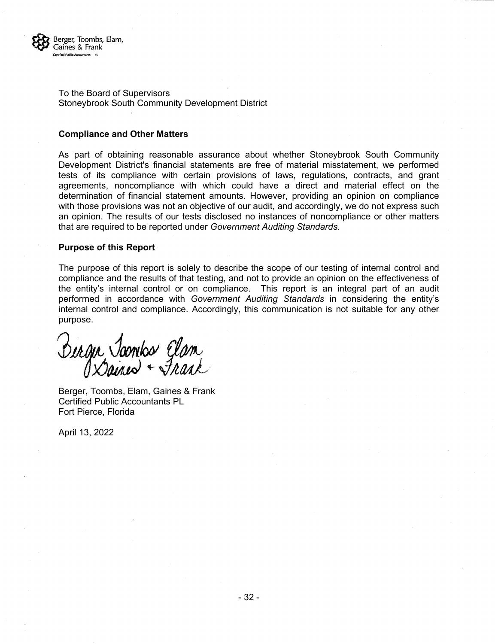

To the Board of Supervisors Stoneybrook South Community Development District

#### **Compliance and Other Matters**

As part of obtaining reasonable assurance about whether Stoneybrook South Community Development District's financial statements are free of material misstatement, we performed tests of its compliance with certain provisions of laws, regulations, contracts, and grant agreements, noncompliance with which could have a direct and material effect on the determination of financial statement amounts. However, providing an opinion on compliance with those provisions was not an objective of our audit, and accordingly, we do not express such an opinion. The results of our tests disclosed no instances of noncompliance or other matters that are required to be reported under *Government Auditing Standards*.

#### **Purpose of this Report**

The purpose of this report is solely to describe the scope of our testing of internal control and compliance and the results of that testing, and not to provide an opinion on the effectiveness of the entity's internal control or on compliance. This report is an integral part of an audit performed in accordance with *Government Auditing Standards* in considering the entity's internal control and compliance. Accordingly, this communication is not suitable for any other purpose.

Birgir Joonks Glam

Berger, Toombs, Elam, Gaines & Frank Certified Public Accountants PL Fort Pierce, Florida

April 13, 2022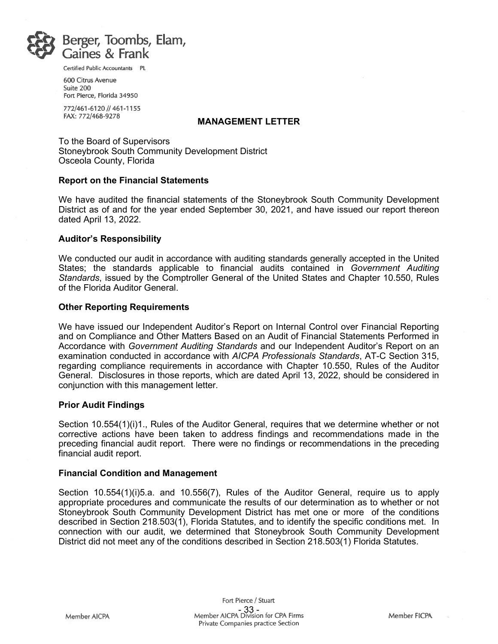

Certified Public Accountants PL

600 Citrus Avenue Suite 200 Fort Pierce, Florida 34950

772/461-6120 // 461-1155 FAX: 772/468-9278

#### **MANAGEMENT LETTER**

To the Board of Supervisors Stoneybrook South Community Development District Osceola County, Florida

#### **Report on the Financial Statements**

We have audited the financial statements of the Stoneybrook South Community Development District as of and for the year ended September 30, 2021, and have issued our report thereon dated April 13, 2022.

#### **Auditor's Responsibility**

We conducted our audit in accordance with auditing standards generally accepted in the United States; the standards applicable to financial audits contained in *Government Auditing Standards*, issued by the Comptroller General of the United States and Chapter 10.550, Rules of the Florida Auditor General.

#### **Other Reporting Requirements**

We have issued our Independent Auditor's Report on Internal Control over Financial Reporting and on Compliance and Other Matters Based on an Audit of Financial Statements Performed in Accordance with *Government Auditing Standards* and our Independent Auditor's Report on an examination conducted in accordance with *AICPA Professionals Standards*, AT-C Section 315, regarding compliance requirements in accordance with Chapter 10.550, Rules of the Auditor General. Disclosures in those reports, which are dated April 13, 2022, should be considered in conjunction with this management letter.

#### **Prior Audit Findings**

Section 10.554(1)(i)1., Rules of the Auditor General, requires that we determine whether or not corrective actions have been taken to address findings and recommendations made in the preceding financial audit report. There were no findings or recommendations in the preceding financial audit report.

#### **Financial Condition and Management**

Section 10.554(1)(i)5.a. and 10.556(7), Rules of the Auditor General, require us to apply appropriate procedures and communicate the results of our determination as to whether or not Stoneybrook South Community Development District has met one or more of the conditions described in Section 218.503(1), Florida Statutes, and to identify the specific conditions met. In connection with our audit, we determined that Stoneybrook South Community Development District did not meet any of the conditions described in Section 218.503(1) Florida Statutes.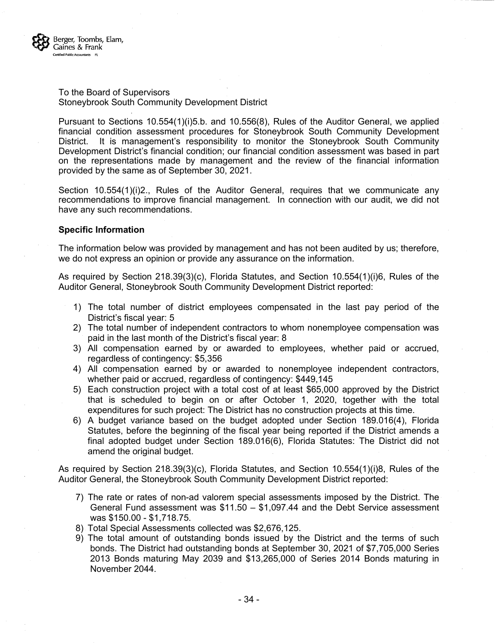

# To the Board of Supervisors

Stoneybrook South Community Development District

Pursuant to Sections 10.554(1)(i)5.b. and 10.556(8), Rules of the Auditor General, we applied financial condition assessment procedures for Stoneybrook South Community Development District. It is management's responsibility to monitor the Stoneybrook South Community Development District's financial condition; our financial condition assessment was based in part on the representations made by management and the review of the financial information provided by the same as of September 30, 2021.

Section 10.554(1)(i)2., Rules of the Auditor General, requires that we communicate any recommendations to improve financial management. In connection with our audit, we did not have any such recommendations.

#### **Specific Information**

The information below was provided by management and has not been audited by us; therefore, we do not express an opinion or provide any assurance on the information.

As required by Section 218.39(3)(c), Florida Statutes, and Section 10.554(1)(i)6, Rules of the Auditor General, Stoneybrook South Community Development District reported:

- 1) The total number of district employees compensated in the last pay period of the District's fiscal year: 5
- 2) The total number of independent contractors to whom nonemployee compensation was paid in the last month of the District's fiscal year: 8
- 3) All compensation earned by or awarded to employees, whether paid or accrued, regardless of contingency: \$5,356
- 4) All compensation earned by or awarded to nonemployee independent contractors, whether paid or accrued, regardless of contingency: \$449,145
- 5) Each construction project with a total cost of at least \$65,000 approved by the District that is scheduled to begin on or after October 1, 2020, together with the total expenditures for such project: The District has no construction projects at this time.
- 6) A budget variance based on the budget adopted under Section 189.016(4), Florida Statutes, before the beginning of the fiscal year being reported if the District amends a final adopted budget under Section 189.016(6), Florida Statutes: The District did not amend the original budget.

As required by Section 218.39(3)(c), Florida Statutes, and Section 10.554(1)(i)8, Rules of the Auditor General, the Stoneybrook South Community Development District reported:

- 7) The rate or rates of non-ad valorem special assessments imposed by the District. The General Fund assessment was \$11.50 – \$1,097.44 and the Debt Service assessment was \$150.00 - \$1,718.75.
- 8) Total Special Assessments collected was \$2,676,125.
- 9) The total amount of outstanding bonds issued by the District and the terms of such bonds. The District had outstanding bonds at September 30, 2021 of \$7,705,000 Series 2013 Bonds maturing May 2039 and \$13,265,000 of Series 2014 Bonds maturing in November 2044.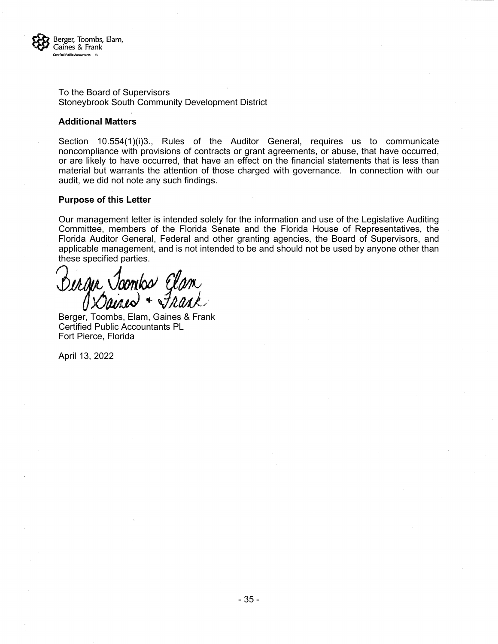

To the Board of Supervisors Stoneybrook South Community Development District

#### **Additional Matters**

Section 10.554(1)(i)3., Rules of the Auditor General, requires us to communicate noncompliance with provisions of contracts or grant agreements, or abuse, that have occurred, or are likely to have occurred, that have an effect on the financial statements that is less than material but warrants the attention of those charged with governance. In connection with our audit, we did not note any such findings.

#### **Purpose of this Letter**

Our management letter is intended solely for the information and use of the Legislative Auditing Committee, members of the Florida Senate and the Florida House of Representatives, the Florida Auditor General, Federal and other granting agencies, the Board of Supervisors, and applicable management, and is not intended to be and should not be used by anyone other than these specified parties.

Dirgin Joonbo Clam<br>Ixaines + Frank

Berger, Toombs, Elam, Gaines & Frank Certified Public Accountants PL Fort Pierce, Florida

April 13, 2022